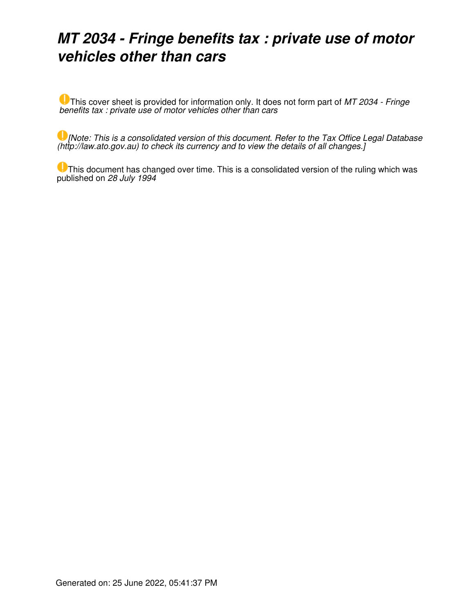# *MT 2034 - Fringe benefits tax : private use of motor vehicles other than cars*

This cover sheet is provided for information only. It does not form part of *MT 2034 - Fringe benefits tax : private use of motor vehicles other than cars*

*[Note: This is a consolidated version of this document. Refer to the Tax Office Legal Database (http://law.ato.gov.au) to check its currency and to view the details of all changes.]*

This document has changed over time. This is a consolidated version of the ruling which was published on *28 July 1994*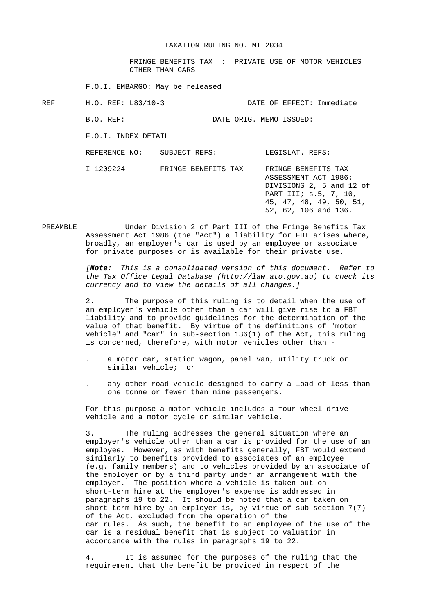FRINGE BENEFITS TAX : PRIVATE USE OF MOTOR VEHICLES OTHER THAN CARS

F.O.I. EMBARGO: May be released

REF H.O. REF: L83/10-3 DATE OF EFFECT: Immediate

B.O. REF: DATE ORIG. MEMO ISSUED:

F.O.I. INDEX DETAIL

REFERENCE NO: SUBJECT REFS: LEGISLAT. REFS:

 I 1209224 FRINGE BENEFITS TAX FRINGE BENEFITS TAX ASSESSMENT ACT 1986: DIVISIONS 2, 5 and 12 of PART III; s.5, 7, 10, 45, 47, 48, 49, 50, 51, 52, 62, 106 and 136.

PREAMBLE Under Division 2 of Part III of the Fringe Benefits Tax Assessment Act 1986 (the "Act") a liability for FBT arises where, broadly, an employer's car is used by an employee or associate for private purposes or is available for their private use.

> *[Note: This is a consolidated version of this document. Refer to the Tax Office Legal Database (http://law.ato.gov.au) to check its currency and to view the details of all changes.]*

 2. The purpose of this ruling is to detail when the use of an employer's vehicle other than a car will give rise to a FBT liability and to provide guidelines for the determination of the value of that benefit. By virtue of the definitions of "motor vehicle" and "car" in sub-section 136(1) of the Act, this ruling is concerned, therefore, with motor vehicles other than -

- . a motor car, station wagon, panel van, utility truck or similar vehicle; or
- . any other road vehicle designed to carry a load of less than one tonne or fewer than nine passengers.

 For this purpose a motor vehicle includes a four-wheel drive vehicle and a motor cycle or similar vehicle.

 3. The ruling addresses the general situation where an employer's vehicle other than a car is provided for the use of an employee. However, as with benefits generally, FBT would extend similarly to benefits provided to associates of an employee (e.g. family members) and to vehicles provided by an associate of the employer or by a third party under an arrangement with the employer. The position where a vehicle is taken out on short-term hire at the employer's expense is addressed in paragraphs 19 to 22. It should be noted that a car taken on short-term hire by an employer is, by virtue of sub-section 7(7) of the Act, excluded from the operation of the car rules. As such, the benefit to an employee of the use of the car is a residual benefit that is subject to valuation in accordance with the rules in paragraphs 19 to 22.

 4. It is assumed for the purposes of the ruling that the requirement that the benefit be provided in respect of the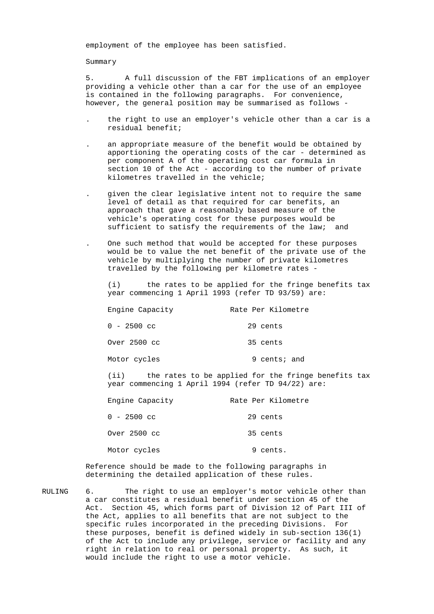employment of the employee has been satisfied.

## Summary

 5. A full discussion of the FBT implications of an employer providing a vehicle other than a car for the use of an employee is contained in the following paragraphs. For convenience, however, the general position may be summarised as follows -

- . the right to use an employer's vehicle other than a car is a residual benefit;
- . an appropriate measure of the benefit would be obtained by apportioning the operating costs of the car - determined as per component A of the operating cost car formula in section 10 of the Act - according to the number of private kilometres travelled in the vehicle;
- . given the clear legislative intent not to require the same level of detail as that required for car benefits, an approach that gave a reasonably based measure of the vehicle's operating cost for these purposes would be sufficient to satisfy the requirements of the law; and
- . One such method that would be accepted for these purposes would be to value the net benefit of the private use of the vehicle by multiplying the number of private kilometres travelled by the following per kilometre rates -

 (i) the rates to be applied for the fringe benefits tax year commencing 1 April 1993 (refer TD 93/59) are:

| Engine Capacity | Rate Per Kilometre |
|-----------------|--------------------|
| $0 - 2500$ cc   | 29 cents           |
| Over 2500 cc    | 35 cents           |
| Motor cycles    | 9 cents; and       |

 (ii) the rates to be applied for the fringe benefits tax year commencing 1 April 1994 (refer TD 94/22) are:

| Engine Capacity | Rate Per Kilometre |
|-----------------|--------------------|
| $0 - 2500$ cc   | 29 cents           |
| Over 2500 cc    | 35 cents           |
| Motor cycles    | cents.<br>9        |

 Reference should be made to the following paragraphs in determining the detailed application of these rules.

RULING 6. The right to use an employer's motor vehicle other than a car constitutes a residual benefit under section 45 of the Act. Section 45, which forms part of Division 12 of Part III of the Act, applies to all benefits that are not subject to the specific rules incorporated in the preceding Divisions. For these purposes, benefit is defined widely in sub-section 136(1) of the Act to include any privilege, service or facility and any right in relation to real or personal property. As such, it would include the right to use a motor vehicle.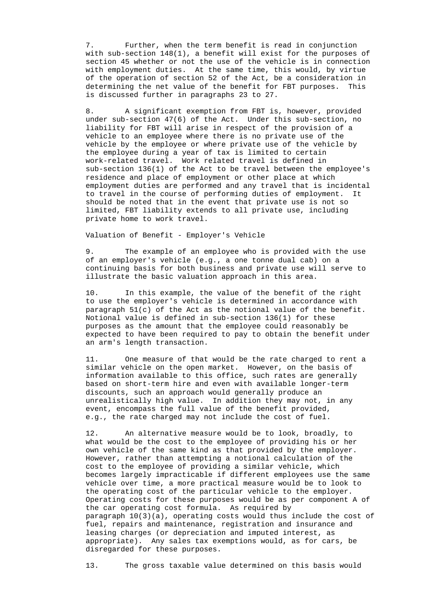7. Further, when the term benefit is read in conjunction with sub-section 148(1), a benefit will exist for the purposes of section 45 whether or not the use of the vehicle is in connection with employment duties. At the same time, this would, by virtue of the operation of section 52 of the Act, be a consideration in determining the net value of the benefit for FBT purposes. This is discussed further in paragraphs 23 to 27.

 8. A significant exemption from FBT is, however, provided under sub-section 47(6) of the Act. Under this sub-section, no liability for FBT will arise in respect of the provision of a vehicle to an employee where there is no private use of the vehicle by the employee or where private use of the vehicle by the employee during a year of tax is limited to certain work-related travel. Work related travel is defined in sub-section 136(1) of the Act to be travel between the employee's residence and place of employment or other place at which employment duties are performed and any travel that is incidental to travel in the course of performing duties of employment. It should be noted that in the event that private use is not so limited, FBT liability extends to all private use, including private home to work travel.

Valuation of Benefit - Employer's Vehicle

 9. The example of an employee who is provided with the use of an employer's vehicle (e.g., a one tonne dual cab) on a continuing basis for both business and private use will serve to illustrate the basic valuation approach in this area.

 10. In this example, the value of the benefit of the right to use the employer's vehicle is determined in accordance with paragraph 51(c) of the Act as the notional value of the benefit. Notional value is defined in sub-section 136(1) for these purposes as the amount that the employee could reasonably be expected to have been required to pay to obtain the benefit under an arm's length transaction.

 11. One measure of that would be the rate charged to rent a similar vehicle on the open market. However, on the basis of information available to this office, such rates are generally based on short-term hire and even with available longer-term discounts, such an approach would generally produce an unrealistically high value. In addition they may not, in any event, encompass the full value of the benefit provided, e.g., the rate charged may not include the cost of fuel.

 12. An alternative measure would be to look, broadly, to what would be the cost to the employee of providing his or her own vehicle of the same kind as that provided by the employer. However, rather than attempting a notional calculation of the cost to the employee of providing a similar vehicle, which becomes largely impracticable if different employees use the same vehicle over time, a more practical measure would be to look to the operating cost of the particular vehicle to the employer. Operating costs for these purposes would be as per component A of the car operating cost formula. As required by paragraph  $10(3)(a)$ , operating costs would thus include the cost of fuel, repairs and maintenance, registration and insurance and leasing charges (or depreciation and imputed interest, as appropriate). Any sales tax exemptions would, as for cars, be disregarded for these purposes.

13. The gross taxable value determined on this basis would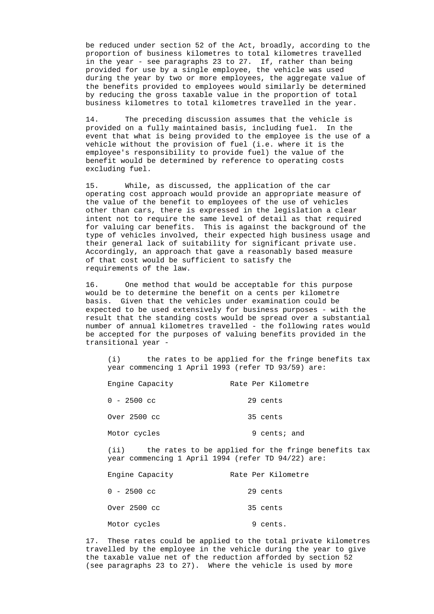be reduced under section 52 of the Act, broadly, according to the proportion of business kilometres to total kilometres travelled in the year - see paragraphs 23 to 27. If, rather than being provided for use by a single employee, the vehicle was used during the year by two or more employees, the aggregate value of the benefits provided to employees would similarly be determined by reducing the gross taxable value in the proportion of total business kilometres to total kilometres travelled in the year.

 14. The preceding discussion assumes that the vehicle is provided on a fully maintained basis, including fuel. In the event that what is being provided to the employee is the use of a vehicle without the provision of fuel (i.e. where it is the employee's responsibility to provide fuel) the value of the benefit would be determined by reference to operating costs excluding fuel.

 15. While, as discussed, the application of the car operating cost approach would provide an appropriate measure of the value of the benefit to employees of the use of vehicles other than cars, there is expressed in the legislation a clear intent not to require the same level of detail as that required for valuing car benefits. This is against the background of the type of vehicles involved, their expected high business usage and their general lack of suitability for significant private use. Accordingly, an approach that gave a reasonably based measure of that cost would be sufficient to satisfy the requirements of the law.

 16. One method that would be acceptable for this purpose would be to determine the benefit on a cents per kilometre basis. Given that the vehicles under examination could be expected to be used extensively for business purposes - with the result that the standing costs would be spread over a substantial number of annual kilometres travelled - the following rates would be accepted for the purposes of valuing benefits provided in the transitional year -

 (i) the rates to be applied for the fringe benefits tax year commencing 1 April 1993 (refer TD 93/59) are:

| Engine Capacity | Rate Per Kilometre |
|-----------------|--------------------|
| $0 - 2500$ cc   | 29 cents           |
| Over 2500 cc    | 35 cents           |
| Motor cycles    | 9 cents; and       |

 (ii) the rates to be applied for the fringe benefits tax year commencing 1 April 1994 (refer TD 94/22) are:

| Engine Capacity | Rate Per Kilometre |
|-----------------|--------------------|
| $0 - 2500$ cc   | 29 cents           |
| Over 2500 cc    | 35 cents           |
| Motor cycles    | 9 cents.           |

 17. These rates could be applied to the total private kilometres travelled by the employee in the vehicle during the year to give the taxable value net of the reduction afforded by section 52 (see paragraphs 23 to 27). Where the vehicle is used by more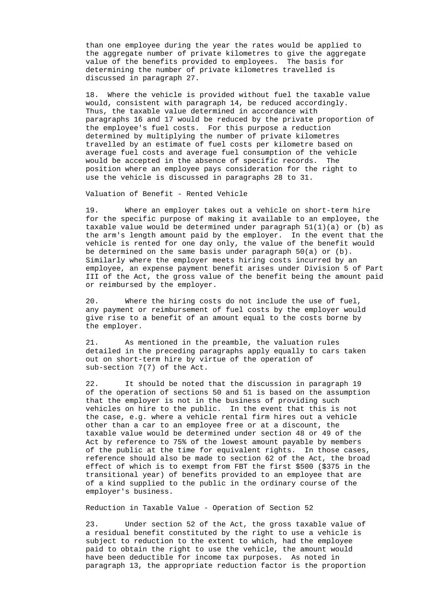than one employee during the year the rates would be applied to the aggregate number of private kilometres to give the aggregate value of the benefits provided to employees. The basis for determining the number of private kilometres travelled is discussed in paragraph 27.

 18. Where the vehicle is provided without fuel the taxable value would, consistent with paragraph 14, be reduced accordingly. Thus, the taxable value determined in accordance with paragraphs 16 and 17 would be reduced by the private proportion of the employee's fuel costs. For this purpose a reduction determined by multiplying the number of private kilometres travelled by an estimate of fuel costs per kilometre based on average fuel costs and average fuel consumption of the vehicle would be accepted in the absence of specific records. The position where an employee pays consideration for the right to use the vehicle is discussed in paragraphs 28 to 31.

Valuation of Benefit - Rented Vehicle

 19. Where an employer takes out a vehicle on short-term hire for the specific purpose of making it available to an employee, the taxable value would be determined under paragraph  $51(1)(a)$  or (b) as the arm's length amount paid by the employer. In the event that the vehicle is rented for one day only, the value of the benefit would be determined on the same basis under paragraph  $50(a)$  or  $(b)$ . Similarly where the employer meets hiring costs incurred by an employee, an expense payment benefit arises under Division 5 of Part III of the Act, the gross value of the benefit being the amount paid or reimbursed by the employer.

 20. Where the hiring costs do not include the use of fuel, any payment or reimbursement of fuel costs by the employer would give rise to a benefit of an amount equal to the costs borne by the employer.

 21. As mentioned in the preamble, the valuation rules detailed in the preceding paragraphs apply equally to cars taken out on short-term hire by virtue of the operation of sub-section 7(7) of the Act.

 22. It should be noted that the discussion in paragraph 19 of the operation of sections 50 and 51 is based on the assumption that the employer is not in the business of providing such vehicles on hire to the public. In the event that this is not the case, e.g. where a vehicle rental firm hires out a vehicle other than a car to an employee free or at a discount, the taxable value would be determined under section 48 or 49 of the Act by reference to 75% of the lowest amount payable by members of the public at the time for equivalent rights. In those cases, reference should also be made to section 62 of the Act, the broad effect of which is to exempt from FBT the first \$500 (\$375 in the transitional year) of benefits provided to an employee that are of a kind supplied to the public in the ordinary course of the employer's business.

Reduction in Taxable Value - Operation of Section 52

 23. Under section 52 of the Act, the gross taxable value of a residual benefit constituted by the right to use a vehicle is subject to reduction to the extent to which, had the employee paid to obtain the right to use the vehicle, the amount would have been deductible for income tax purposes. As noted in paragraph 13, the appropriate reduction factor is the proportion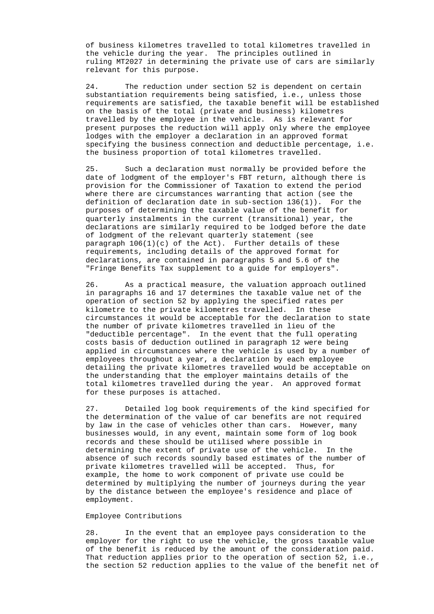of business kilometres travelled to total kilometres travelled in the vehicle during the year. The principles outlined in ruling MT2027 in determining the private use of cars are similarly relevant for this purpose.

 24. The reduction under section 52 is dependent on certain substantiation requirements being satisfied, i.e., unless those requirements are satisfied, the taxable benefit will be established on the basis of the total (private and business) kilometres travelled by the employee in the vehicle. As is relevant for present purposes the reduction will apply only where the employee lodges with the employer a declaration in an approved format specifying the business connection and deductible percentage, i.e. the business proportion of total kilometres travelled.

 25. Such a declaration must normally be provided before the date of lodgment of the employer's FBT return, although there is provision for the Commissioner of Taxation to extend the period where there are circumstances warranting that action (see the definition of declaration date in sub-section 136(1)). For the purposes of determining the taxable value of the benefit for quarterly instalments in the current (transitional) year, the declarations are similarly required to be lodged before the date of lodgment of the relevant quarterly statement (see paragraph 106(1)(c) of the Act). Further details of these requirements, including details of the approved format for declarations, are contained in paragraphs 5 and 5.6 of the "Fringe Benefits Tax supplement to a guide for employers".

 26. As a practical measure, the valuation approach outlined in paragraphs 16 and 17 determines the taxable value net of the operation of section 52 by applying the specified rates per kilometre to the private kilometres travelled. In these circumstances it would be acceptable for the declaration to state the number of private kilometres travelled in lieu of the "deductible percentage". In the event that the full operating costs basis of deduction outlined in paragraph 12 were being applied in circumstances where the vehicle is used by a number of employees throughout a year, a declaration by each employee detailing the private kilometres travelled would be acceptable on the understanding that the employer maintains details of the total kilometres travelled during the year. An approved format for these purposes is attached.

 27. Detailed log book requirements of the kind specified for the determination of the value of car benefits are not required by law in the case of vehicles other than cars. However, many businesses would, in any event, maintain some form of log book records and these should be utilised where possible in determining the extent of private use of the vehicle. In the absence of such records soundly based estimates of the number of private kilometres travelled will be accepted. Thus, for example, the home to work component of private use could be determined by multiplying the number of journeys during the year by the distance between the employee's residence and place of employment.

### Employee Contributions

 28. In the event that an employee pays consideration to the employer for the right to use the vehicle, the gross taxable value of the benefit is reduced by the amount of the consideration paid. That reduction applies prior to the operation of section 52, i.e., the section 52 reduction applies to the value of the benefit net of